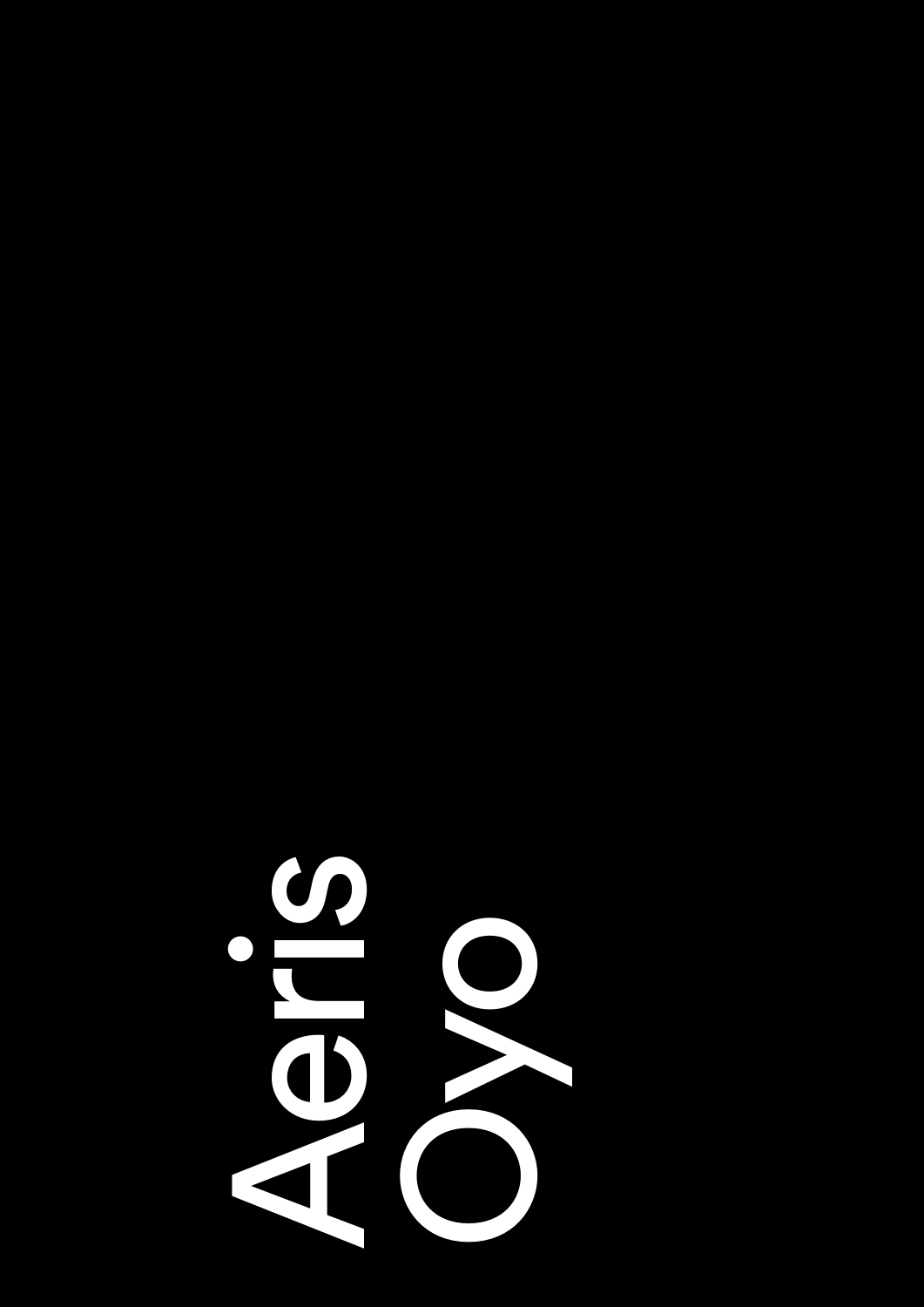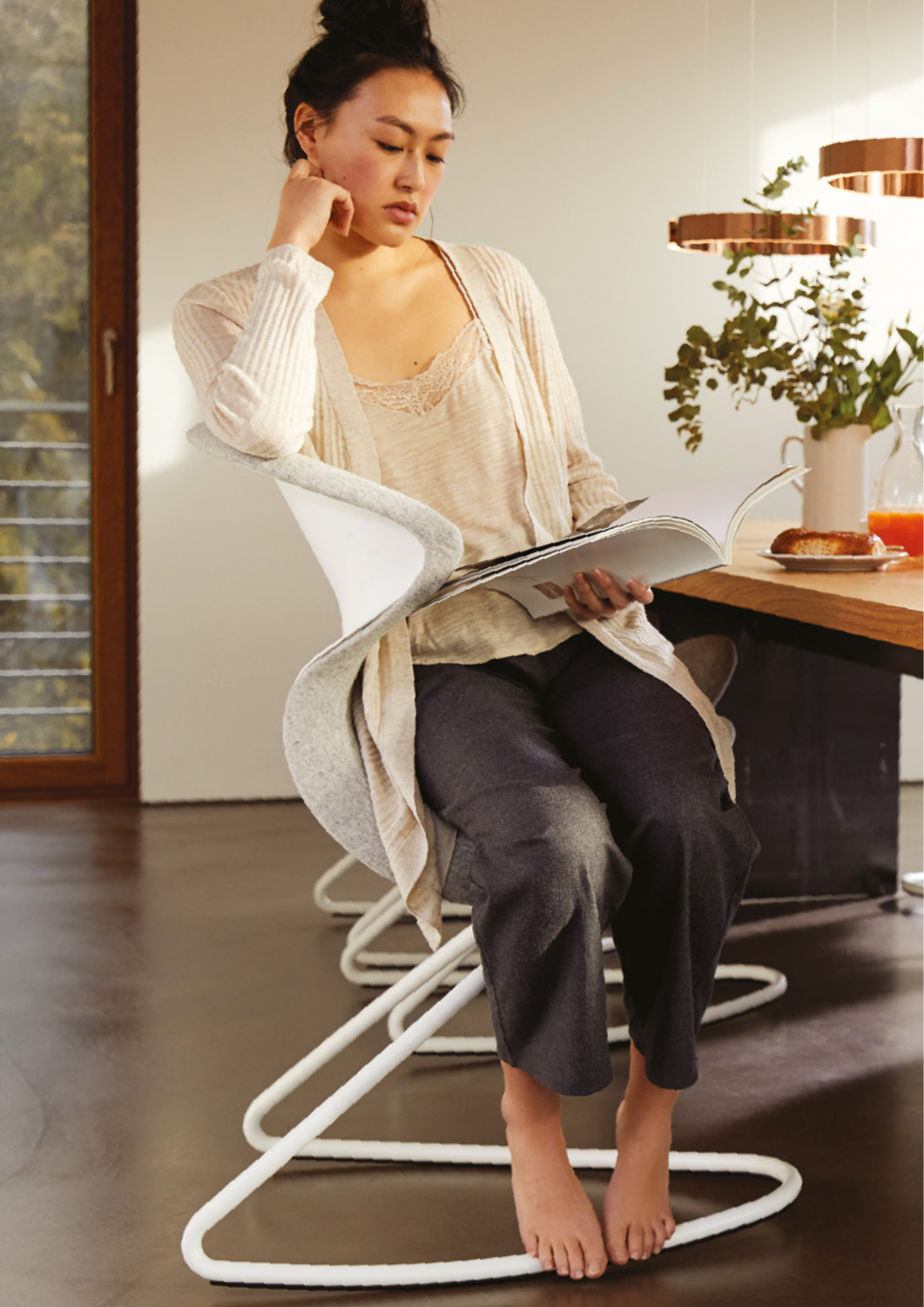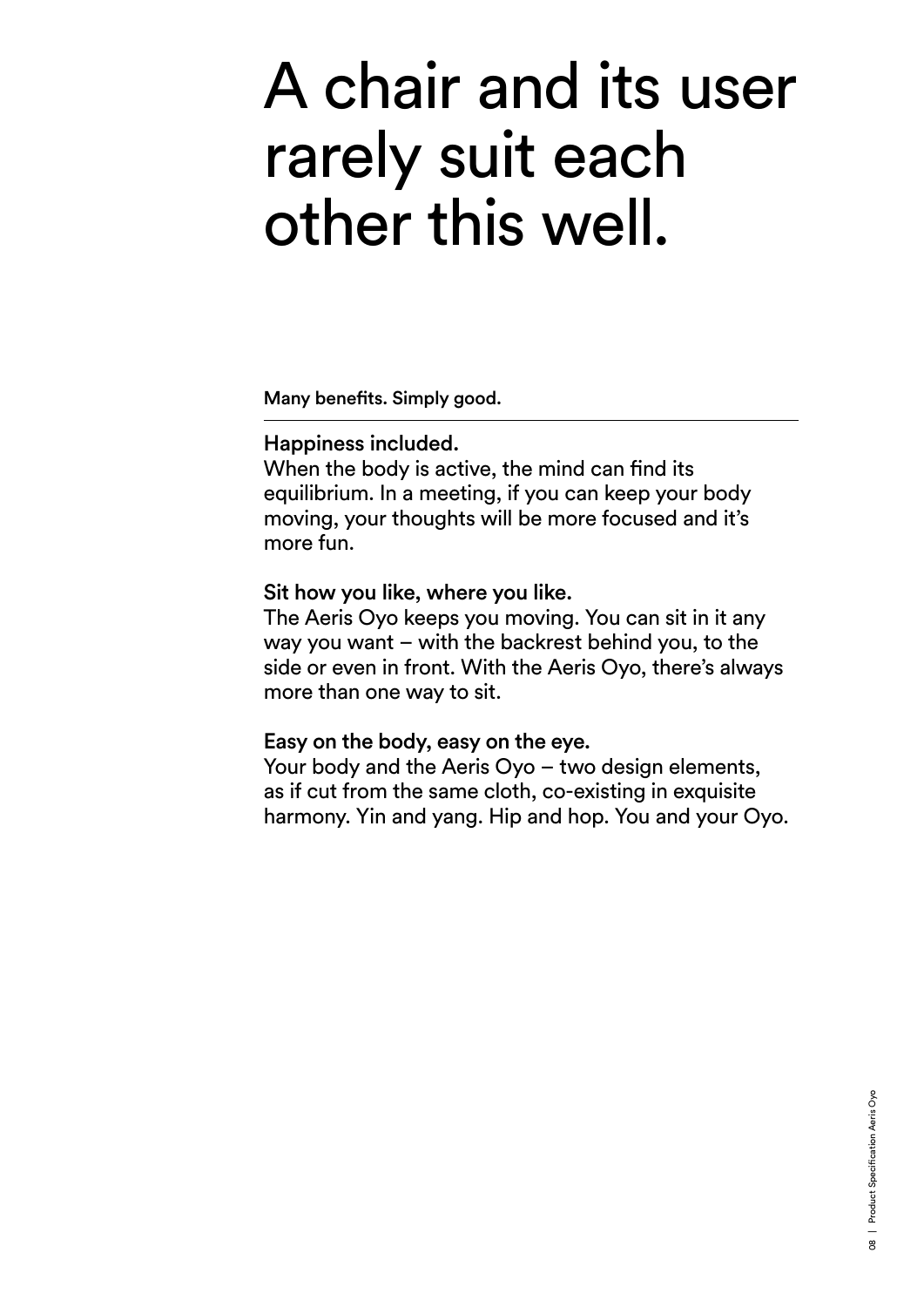# A chair and its user rarely suit each other this well.

Many benefits. Simply good.

#### Happiness included.

When the body is active, the mind can find its equilibrium. In a meeting, if you can keep your body moving, your thoughts will be more focused and it's more fun.

#### Sit how you like, where you like.

The Aeris Oyo keeps you moving. You can sit in it any way you want – with the backrest behind you, to the side or even in front. With the Aeris Oyo, there's always more than one way to sit.

#### Easy on the body, easy on the eye.

Your body and the Aeris Oyo – two design elements, as if cut from the same cloth, co-existing in exquisite harmony. Yin and yang. Hip and hop. You and your Oyo.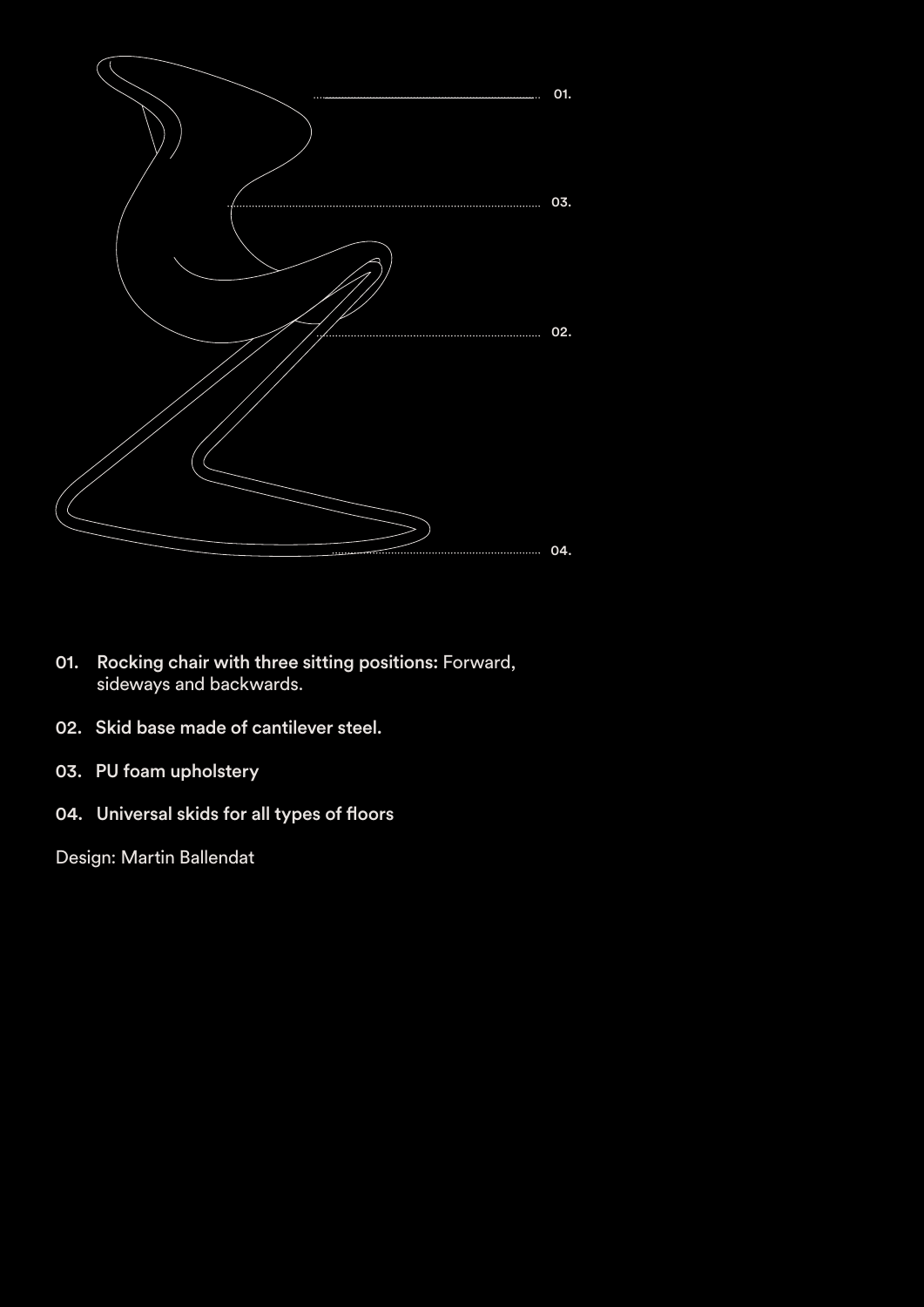

- 01. Rocking chair with three sitting positions: Forward, sideways and backwards.
- 02. Skid base made of cantilever steel.
- 03. PU foam upholstery
- 04. Universal skids for all types of floors

Design: Martin Ballendat